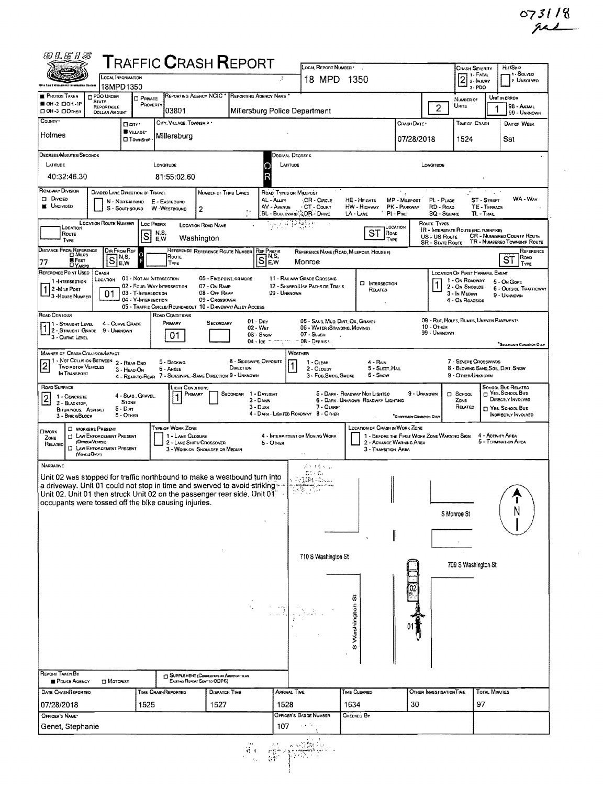$\sim$ 

 $\sim$ 

| @LEIS                                                                                                                                                                                                                                                                                                                                                                                                                                                                                                                                                                                                                               |                                                              |                                                                           | <b>TRAFFIC CRASH REPORT</b>                                                                        |                                                                          | LOCAL REPORT NUMBER                                                                                          |                                                                                   |                                             |                              | <b>CRASH SEVERITY</b>                                                            |                                           | HIT/SKIP                                                                                                 |  |  |
|-------------------------------------------------------------------------------------------------------------------------------------------------------------------------------------------------------------------------------------------------------------------------------------------------------------------------------------------------------------------------------------------------------------------------------------------------------------------------------------------------------------------------------------------------------------------------------------------------------------------------------------|--------------------------------------------------------------|---------------------------------------------------------------------------|----------------------------------------------------------------------------------------------------|--------------------------------------------------------------------------|--------------------------------------------------------------------------------------------------------------|-----------------------------------------------------------------------------------|---------------------------------------------|------------------------------|----------------------------------------------------------------------------------|-------------------------------------------|----------------------------------------------------------------------------------------------------------|--|--|
| dala Lem Enforcement tafarmaztun Spetam                                                                                                                                                                                                                                                                                                                                                                                                                                                                                                                                                                                             | <b>LOCAL INFORMATION</b><br>18MPD1350                        |                                                                           |                                                                                                    |                                                                          | 18 MPD 1350                                                                                                  |                                                                                   |                                             |                              | 2 <sup>1. F</sup> ATAY<br>$3.$ PDO                                               |                                           | -1 - Solved<br>2. UNSOLVED                                                                               |  |  |
| <b>PHOTOS TAKEN</b><br><b>D PDO UNDER</b><br><b>STATE</b><br>■ ОН-2 口ОН 1Р                                                                                                                                                                                                                                                                                                                                                                                                                                                                                                                                                          | <b>D</b> PRIVATE<br>PROPERTY                                 | REPORTING AGENCY NCIC <sup>*</sup>                                        |                                                                                                    | REPORTING AGENCY NAME                                                    |                                                                                                              |                                                                                   |                                             |                              | NUMBER OF<br>UNITS                                                               | UNIT IN ERROR                             | 98 - Animal                                                                                              |  |  |
| REPORTABLE<br>OH-3 OOTHER<br><b>DOLLAR AMOUNT</b><br>COUNTY <sup>.</sup>                                                                                                                                                                                                                                                                                                                                                                                                                                                                                                                                                            |                                                              | 03801<br>CITY, VILLAGE, TOWNSHIP                                          |                                                                                                    | Millersburg Police Department                                            |                                                                                                              |                                                                                   |                                             | $\overline{2}$               |                                                                                  |                                           | 99 - UNKNOWN<br>Day of Week                                                                              |  |  |
| Holmes                                                                                                                                                                                                                                                                                                                                                                                                                                                                                                                                                                                                                              | $\Box$ $C(TY^*)$<br>WILLAGE*<br><b>CITOWNSHIP</b>            | Millersburg                                                               |                                                                                                    |                                                                          | TIME OF CRASH<br>CRASH DATE *<br>07/28/2018<br>1524                                                          |                                                                                   |                                             |                              |                                                                                  |                                           |                                                                                                          |  |  |
| <b>DEGREES/MINUTES/SECONDS</b>                                                                                                                                                                                                                                                                                                                                                                                                                                                                                                                                                                                                      |                                                              |                                                                           |                                                                                                    |                                                                          | Sat<br>DECIMAL DEGREES                                                                                       |                                                                                   |                                             |                              |                                                                                  |                                           |                                                                                                          |  |  |
| LATITUDE                                                                                                                                                                                                                                                                                                                                                                                                                                                                                                                                                                                                                            |                                                              | LONGITUDE                                                                 |                                                                                                    | LATITUDE                                                                 |                                                                                                              |                                                                                   |                                             | LONGITUDE                    |                                                                                  |                                           |                                                                                                          |  |  |
| 40:32:46.30                                                                                                                                                                                                                                                                                                                                                                                                                                                                                                                                                                                                                         |                                                              | 81:55:02.60                                                               |                                                                                                    |                                                                          |                                                                                                              |                                                                                   |                                             |                              |                                                                                  |                                           |                                                                                                          |  |  |
| ROADWAY DIVISION<br><b>DIVIDED LANE DIRECTION OF TRAVEL</b><br>NUMBER OF THRU LANES<br>ROAD TYPES OR MILEPOST<br><b>D</b> Divideo<br>AL - Auev<br>MP - Mitspost<br>ST - STREET<br>CR - Circle<br>HE - HEIGHTS<br>PL - PLACE<br>N - NORTHBOUND<br>E - EASTBOUND<br><b>UNDIVIDED</b><br>PK - PARKWAY<br>RD - Road<br>AV - AVENUE<br>∘ CT - Court<br>HW - Highway<br>TE - TERRACE<br>W -WESTBOUND<br>S - Southsound<br>2<br>$\mathbf{R}_{\rm{eff}}$<br>BL - BOULEVARD <sup>2</sup> DR - DRIVE<br>$PI - P_{IKE}$<br>TL-TRAIL<br>LA - LANE<br><b>SQ - SQUARE</b>                                                                         |                                                              |                                                                           |                                                                                                    |                                                                          |                                                                                                              |                                                                                   |                                             |                              |                                                                                  | WA - Way                                  |                                                                                                          |  |  |
| LOCATION ROUTE NUMBER<br>श्चात्रक<br>Route Types<br><b>Loc PREFIX</b><br><b>LOCATION ROAD NAME</b><br>LOCATION<br>LOCATION<br>IR - INTERSTATE ROUTE (INC. TURNPIKE)<br>SТ<br>ROAD<br>N.S.<br>E,W<br>Route<br>ls<br>CR - NUMBERED COUNTY ROUTE<br>US - US Route<br>Washington                                                                                                                                                                                                                                                                                                                                                        |                                                              |                                                                           |                                                                                                    |                                                                          |                                                                                                              |                                                                                   |                                             |                              |                                                                                  |                                           |                                                                                                          |  |  |
| TYPE<br>DISTANCE FROM REFERENCE                                                                                                                                                                                                                                                                                                                                                                                                                                                                                                                                                                                                     | DIR FROM REF<br>ö                                            |                                                                           | REFERENCE REFERENCE ROUTE NUMBER REF PREFIX                                                        |                                                                          |                                                                                                              | <b>TYPE</b><br>REFERENCE NAME (ROAD, MILEPOST, HOUSE #)                           |                                             | <b>SR - STATE ROUTE</b>      |                                                                                  |                                           | TR - NUMBEREO TOWNSHIP ROUTE<br>REFERENCE                                                                |  |  |
| S<br><b>E</b> FEET<br>77<br>DY <sub>ARDS</sub>                                                                                                                                                                                                                                                                                                                                                                                                                                                                                                                                                                                      | N,S,<br>E,W                                                  | Route<br>TYPE                                                             |                                                                                                    | N,S,<br>S<br>E.W                                                         | Monroe                                                                                                       |                                                                                   |                                             |                              |                                                                                  |                                           | ROAD<br>ST<br>TYPE                                                                                       |  |  |
| REFERENCE POINT USED<br>CRASH<br><b>LOCATION OF FIRST HARMFUL EVENT</b><br>11 - RAILWAY GRADE CROSSING<br>01 - NOT AN INTERSECTION<br>06 - FIVE POINT, OR MORE<br>LOCATION<br>1 - On ROADWAY<br>5 - On Gore<br>1 -INTERSECTION<br><b>D</b> INTERSECTION<br>02 - FOUR WAY INTERSECTION<br>07 - On RAMP<br>12 - SHAREO-USE PATHS OR TRAILS<br>2 - On Shoulde<br>2 - MILE POST<br>RELATEO<br>08 - OFF RAMP<br>01<br>03 - T-INTERSECTION<br>99 - Unknown<br>3 - In Median<br>9 - UNKNOWN<br>3 - House Number<br>04 - Y-INTERSECTION<br>09 - Crossoven<br>4 - On ROAOSIDE<br>05 - TRAFFIC CIRCLE/ ROUNDABOUT 10 - DRIVEWAY/ ALLEY ACCESS |                                                              |                                                                           |                                                                                                    |                                                                          |                                                                                                              |                                                                                   |                                             |                              |                                                                                  | 6 - OUTSIDE TRAFFICWAY                    |                                                                                                          |  |  |
| ROAD CONTOUR<br>11 - Straight Level<br>1 2 - STRAIGHT GRADE 9 - UNKNOWN<br>3 - CURVE LEVEL                                                                                                                                                                                                                                                                                                                                                                                                                                                                                                                                          | 4 - CURVE GRADE                                              | ROAD CONDITIONS<br>PRIMARY<br>01                                          | Secondary                                                                                          | $01 - \text{Dry}$<br>02 - Wer<br>$03 -$ Snow<br>$04 - \log x$ and $0.05$ | 05 - SAND, MUO, DIRT, OIL, GRAVEL<br>06 - WATER (STANDING, MOVING)<br>07 - SLUSH<br>$-08 -$ DEBRIS $\cdot$ . |                                                                                   |                                             | $10 -$ OTHER<br>99 - UNKNOWN | 09 - RUT, HOLES, BUMPS, UNEVEN PAVEMENT*                                         |                                           |                                                                                                          |  |  |
| <b>MANNER OF CRASH COLLISION/IMPACT</b>                                                                                                                                                                                                                                                                                                                                                                                                                                                                                                                                                                                             |                                                              |                                                                           |                                                                                                    | WEATHER                                                                  |                                                                                                              |                                                                                   |                                             |                              |                                                                                  |                                           | "SECONDARY CONDITION OVEY                                                                                |  |  |
| 1 - Not Collision Between 2 - Rear-End<br>$\overline{2}$<br><b>TWO MOTOR VEHICLES</b><br>IN TRANSPORT                                                                                                                                                                                                                                                                                                                                                                                                                                                                                                                               | 3 - HEAD-ON                                                  | 5 - BACKING<br>6 - Angle                                                  | 8 - Sideswipe, Opposite<br>DIRECTION<br>4 - REAR-TO-REAR 7 - SIDESWIPE, SAME DIRECTION 9 - UNKNOWN |                                                                          | 1 - CLEAR<br>2 - CLOUDY<br>3 - Fog,Smog, Smoke                                                               | 4 - Rain<br>5 - SLEET, HAIL<br>5 - Snow                                           |                                             |                              | 7 - SEVERE CROSSWINDS<br>8 - Blowing Sand, Soil, Dirt, Snow<br>9 - Other/Unknown |                                           |                                                                                                          |  |  |
| ROAD SURFACE<br>1 - CONCRETE<br>$\overline{2}$<br>2 - BLACKTOP,<br>BITUMINOUS, ASPHALT<br>3 - BRICK BLOCK                                                                                                                                                                                                                                                                                                                                                                                                                                                                                                                           | 4 - SLAG, GRAVEL,<br><b>STONE</b><br>$5 -$ Dirt<br>6 - OTHER | LIGHT CONDITIONS<br>Primary                                               | SECONDAR 1 - DAYLIGHT                                                                              | 2 - Dawn<br>$3 -$ Dusk<br>4 - DARK - LIGHTED ROADWAY 8 - OTHER           | 7 - GLARE                                                                                                    | 5 - DARK - ROADWAY NOT LIGHTEO<br>6 - DARK - UNKNOWN ROADWAY LIGHTING             | 9 - Unknown<br>SECONDARY CONDITION ONLY     |                              | <b>D</b> School<br>ZONE<br>RELATED                                               |                                           | SCHOOL BUS RELATED<br>E YES, SCHOOL BUS<br>DIRECTLY INVOLVED<br>П Yes. School Bus<br>INDIRECTLY INVOLVED |  |  |
| WORKERS PRESENT<br>OWORK<br><b>CI LAW ENFORCEMENT PRESENT</b><br>ZONE<br>(Officer/Vergle)<br>RELATED<br><b>EL LAW ENFORCEMENT PRESENT</b><br>(VENCLE ONLY)                                                                                                                                                                                                                                                                                                                                                                                                                                                                          |                                                              | <b>TYPE OF WORK ZONE</b><br>1 - LANE CLOSURE<br>2 - LANE SHIFT/ CROSSOVER | 3 - WORK ON SHOULDER OR MEDIAN                                                                     | 4 - INTERMITTENT OR MOVING WORK<br>5 - Omer                              | $\sim$                                                                                                       | LOCATION OF CRASH IN WORK ZONE<br>2 - ADVANCE WARNING AREA<br>3 - TRANSITION AREA | 1 - BEFORE THE FIRST WORK ZONE WARNING SIGN |                              |                                                                                  | 4 - ACTIVITY AREA<br>5 - TERMINATION AREA |                                                                                                          |  |  |
| <b>NARRATIVE</b><br>Unit 02 was stopped for traffic northbound to make a westbound turn into<br>a driveway. Unit 01 could not stop in time and swerved to avoid striking $\sim$<br>Unit 02. Unit 01 then struck Unit 02 on the passenger rear side. Unit 01"<br>occupants were tossed off the bike causing injuries.                                                                                                                                                                                                                                                                                                                |                                                              |                                                                           |                                                                                                    |                                                                          | さいけいし<br>$C_2^*$ . $C_3$<br><b>花香雄科 Could</b><br>ကြား မေးလှုန်းစေခေတ်မှု အားဝေသာမှ<br>수직화 그 일대               |                                                                                   |                                             |                              | S Monroe St                                                                      |                                           | T<br>N                                                                                                   |  |  |
| 710 S Washington St                                                                                                                                                                                                                                                                                                                                                                                                                                                                                                                                                                                                                 |                                                              |                                                                           |                                                                                                    |                                                                          |                                                                                                              |                                                                                   |                                             |                              | 709 S Washington St                                                              |                                           |                                                                                                          |  |  |
| REPORT TAKEN BY                                                                                                                                                                                                                                                                                                                                                                                                                                                                                                                                                                                                                     |                                                              |                                                                           |                                                                                                    |                                                                          |                                                                                                              | $\omega$                                                                          |                                             |                              |                                                                                  |                                           |                                                                                                          |  |  |
| POLICE AGENCY<br>□ Moronist                                                                                                                                                                                                                                                                                                                                                                                                                                                                                                                                                                                                         |                                                              | EXISTING REPORT SENT TO ODPS)                                             | <b>CO SUPPLEMENT (CORRECTION OR ASSETTION TO AN</b>                                                |                                                                          |                                                                                                              |                                                                                   |                                             |                              |                                                                                  |                                           |                                                                                                          |  |  |
| DATE CRASHREPORTED<br>07/28/2018                                                                                                                                                                                                                                                                                                                                                                                                                                                                                                                                                                                                    | 1525                                                         | TIME CRASHREPORTED                                                        | <b>DISPATCH TIME</b><br>1527                                                                       | Arrival Time<br>1528                                                     |                                                                                                              | TIME CLEARED<br>1634                                                              | 30                                          | OTHER INVESTIGATION TIME     | 97                                                                               | <b>TOTAL MINUTES</b>                      |                                                                                                          |  |  |
| OFFICER'S NAME*                                                                                                                                                                                                                                                                                                                                                                                                                                                                                                                                                                                                                     |                                                              |                                                                           |                                                                                                    |                                                                          | OFFICER'S BADGE NUMBER                                                                                       | CHECKED BY                                                                        |                                             |                              |                                                                                  |                                           |                                                                                                          |  |  |
| Genet, Stephanie                                                                                                                                                                                                                                                                                                                                                                                                                                                                                                                                                                                                                    |                                                              |                                                                           |                                                                                                    | 107                                                                      |                                                                                                              |                                                                                   |                                             |                              |                                                                                  |                                           |                                                                                                          |  |  |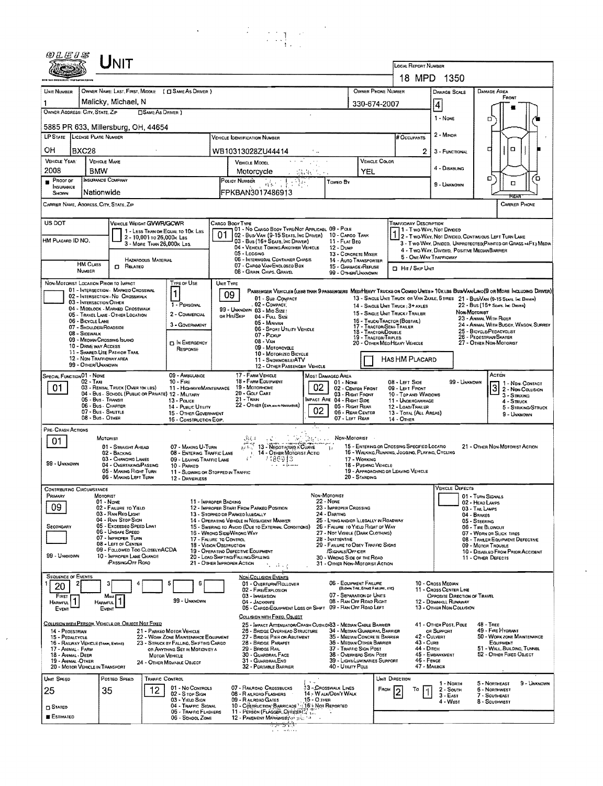|                                                                                                                                                                                                                                                                                                                              | Unit                                                                                                                                                                                                                                                                     |                                                                                                                                                                                                                 |                                                                                                                                                                                                                                                                                                                                                                                                                                                  |                                                                                                                                                                                                                                                                                                                  |                                                                                                                                                                                                                                                                                                                                                                                                                                                                                                       |                                                                                                                                              |                                                                                                                                                                                                       |                                                          |                                                                                                                                                                                                                                                             |
|------------------------------------------------------------------------------------------------------------------------------------------------------------------------------------------------------------------------------------------------------------------------------------------------------------------------------|--------------------------------------------------------------------------------------------------------------------------------------------------------------------------------------------------------------------------------------------------------------------------|-----------------------------------------------------------------------------------------------------------------------------------------------------------------------------------------------------------------|--------------------------------------------------------------------------------------------------------------------------------------------------------------------------------------------------------------------------------------------------------------------------------------------------------------------------------------------------------------------------------------------------------------------------------------------------|------------------------------------------------------------------------------------------------------------------------------------------------------------------------------------------------------------------------------------------------------------------------------------------------------------------|-------------------------------------------------------------------------------------------------------------------------------------------------------------------------------------------------------------------------------------------------------------------------------------------------------------------------------------------------------------------------------------------------------------------------------------------------------------------------------------------------------|----------------------------------------------------------------------------------------------------------------------------------------------|-------------------------------------------------------------------------------------------------------------------------------------------------------------------------------------------------------|----------------------------------------------------------|-------------------------------------------------------------------------------------------------------------------------------------------------------------------------------------------------------------------------------------------------------------|
|                                                                                                                                                                                                                                                                                                                              |                                                                                                                                                                                                                                                                          |                                                                                                                                                                                                                 |                                                                                                                                                                                                                                                                                                                                                                                                                                                  |                                                                                                                                                                                                                                                                                                                  |                                                                                                                                                                                                                                                                                                                                                                                                                                                                                                       |                                                                                                                                              | <b>LOCAL REPORT NUMBER</b><br>18 MPD 1350                                                                                                                                                             |                                                          |                                                                                                                                                                                                                                                             |
| <b>UNIT NUMBER</b>                                                                                                                                                                                                                                                                                                           | OWNER NAME: LAST, FIRST, MIDDLE ( C SAME AS DRIVER )                                                                                                                                                                                                                     |                                                                                                                                                                                                                 |                                                                                                                                                                                                                                                                                                                                                                                                                                                  |                                                                                                                                                                                                                                                                                                                  |                                                                                                                                                                                                                                                                                                                                                                                                                                                                                                       | OWNER PHONE NUMBER                                                                                                                           |                                                                                                                                                                                                       | <b>DAMAGE SCALE</b>                                      | DAMAGE AREA<br>FRONT                                                                                                                                                                                                                                        |
| OWNER ADDRESS: CITY, STATE, ZIP                                                                                                                                                                                                                                                                                              | Malicky, Michael, N<br><b>SAME AS DRIVER</b> )                                                                                                                                                                                                                           |                                                                                                                                                                                                                 |                                                                                                                                                                                                                                                                                                                                                                                                                                                  |                                                                                                                                                                                                                                                                                                                  |                                                                                                                                                                                                                                                                                                                                                                                                                                                                                                       | 330-674-2007                                                                                                                                 | 4                                                                                                                                                                                                     |                                                          |                                                                                                                                                                                                                                                             |
| 5885 PR 633, Millersburg, OH, 44654                                                                                                                                                                                                                                                                                          |                                                                                                                                                                                                                                                                          |                                                                                                                                                                                                                 |                                                                                                                                                                                                                                                                                                                                                                                                                                                  |                                                                                                                                                                                                                                                                                                                  |                                                                                                                                                                                                                                                                                                                                                                                                                                                                                                       |                                                                                                                                              |                                                                                                                                                                                                       | 1 - None                                                 | σ                                                                                                                                                                                                                                                           |
| LP STATE LICENSE PLATE NUMBER                                                                                                                                                                                                                                                                                                |                                                                                                                                                                                                                                                                          | # OCCUPANTS                                                                                                                                                                                                     |                                                                                                                                                                                                                                                                                                                                                                                                                                                  | 2 - MINOR                                                                                                                                                                                                                                                                                                        |                                                                                                                                                                                                                                                                                                                                                                                                                                                                                                       |                                                                                                                                              |                                                                                                                                                                                                       |                                                          |                                                                                                                                                                                                                                                             |
| он<br>BXC28<br><b>VEHICLE YEAR</b><br><b>VEHICLE MAKE</b>                                                                                                                                                                                                                                                                    |                                                                                                                                                                                                                                                                          |                                                                                                                                                                                                                 | WB10313028ZU44414<br>VEHICLE MODEL                                                                                                                                                                                                                                                                                                                                                                                                               |                                                                                                                                                                                                                                                                                                                  | <b>VEHICLE COLOR</b>                                                                                                                                                                                                                                                                                                                                                                                                                                                                                  | 2                                                                                                                                            | 3 - FUNCTIONAL                                                                                                                                                                                        | $\Box$<br>с                                              |                                                                                                                                                                                                                                                             |
| 2008<br><b>BMW</b>                                                                                                                                                                                                                                                                                                           |                                                                                                                                                                                                                                                                          |                                                                                                                                                                                                                 | Motorcycle                                                                                                                                                                                                                                                                                                                                                                                                                                       | 高速 机后                                                                                                                                                                                                                                                                                                            | YEL                                                                                                                                                                                                                                                                                                                                                                                                                                                                                                   |                                                                                                                                              |                                                                                                                                                                                                       | 4 - DISABLING                                            | ם                                                                                                                                                                                                                                                           |
| <b>INSURANCE COMPANY</b><br>PROOF OF<br>INSURANCE<br>Nationwide<br>SHOWN                                                                                                                                                                                                                                                     |                                                                                                                                                                                                                                                                          |                                                                                                                                                                                                                 | POLICY NUMBER<br>得。<br>FPKBAN3017486913                                                                                                                                                                                                                                                                                                                                                                                                          | Toweo By                                                                                                                                                                                                                                                                                                         |                                                                                                                                                                                                                                                                                                                                                                                                                                                                                                       |                                                                                                                                              |                                                                                                                                                                                                       | 9 - UNKNOWN                                              | o<br>$\Box$<br>REAR                                                                                                                                                                                                                                         |
| CARRIER NAME, ADORESS, CITY, STATE, ZIP                                                                                                                                                                                                                                                                                      |                                                                                                                                                                                                                                                                          |                                                                                                                                                                                                                 |                                                                                                                                                                                                                                                                                                                                                                                                                                                  |                                                                                                                                                                                                                                                                                                                  |                                                                                                                                                                                                                                                                                                                                                                                                                                                                                                       |                                                                                                                                              |                                                                                                                                                                                                       |                                                          | <b>CARRIER PHONE</b>                                                                                                                                                                                                                                        |
| US DOT<br>HM PLACARD ID NO.                                                                                                                                                                                                                                                                                                  | VEHICLE WEIGHT GVWR/GCWR<br>1 - LESS THAN OR EQUAL TO 10K LBS<br>2 - 10,001 to 26,000k Las<br>3 - MORE THAN 26,000K LBS.<br>HAZARDOUS MATERIAL                                                                                                                           |                                                                                                                                                                                                                 | CARGO BOOY TYPE<br>01 - No CARGO BODY TYPE/NOT APPLICABL 09 - POLE<br>01 02 - Busi Van (9-15 Seats, Inc Driver)<br>03 - Bus (16+ Seats, Inc Driver)<br>04 - VEHICLE TOWING ANOTHER VEHICLE<br>05 - Locging<br>06 - INTERMODAL CONTAINER CHASIS                                                                                                                                                                                                   | 11 - FLAT BEO<br>12 - Dump                                                                                                                                                                                                                                                                                       | 10 - CARGO TANK<br>13 - CONCRETE MIXER<br>14 - AUTO TRANSPORTER                                                                                                                                                                                                                                                                                                                                                                                                                                       |                                                                                                                                              | <b>TRAFFICWAY DESCRIPTION</b><br>1 - Two WAY, Not Divideo<br>5 - ONE-WAY TRAFFICWAY                                                                                                                   |                                                          | 2 - Two-Way, Not Divideo, Continuous Left Turn Lane<br>3 - Two WAY, Divideo, UNPROTECTEO(PAINTED OR GRASS >4FT.) MEDIA<br>4 - Two-Way, Divided, Positive Median Barrier                                                                                     |
| <b>HM CLASS</b><br>NUMBER                                                                                                                                                                                                                                                                                                    | <b>CI RELATED</b>                                                                                                                                                                                                                                                        |                                                                                                                                                                                                                 | 07 - CARGO VAN ENCLOSEO BOX<br>08 - GRAIN, CHIPS, GRAVEL                                                                                                                                                                                                                                                                                                                                                                                         |                                                                                                                                                                                                                                                                                                                  | 15 - GARBAGE REFUSE<br>99 - OTHER/UNKNOWN                                                                                                                                                                                                                                                                                                                                                                                                                                                             | <b>D</b> Hit / Skip UNIT                                                                                                                     |                                                                                                                                                                                                       |                                                          |                                                                                                                                                                                                                                                             |
| NON-MOTORIST LOCATION PRIOR TO IMPACT<br>03 - INTERSECTION OTHER<br>06 - BICYCLE LANE<br>07 - SHOULDER/ROADSIDE<br>08 - Sigewalk<br>09 - MEDIAN/CROSSING ISLAND<br>10 - DRIVE WAY ACCESS<br>11 - SHARED-USE PATH OR TRAIL<br>12 - NON-TRAFFICWAY AREA<br>99 - OTHER/UNKNOWN                                                  | 01 - INTERSECTION - MARKEO CROSSWAL<br>02 - INTERSECTION - NO CROSSWALK<br>04 - MIDBLOCK - MARKED CROSSWALK<br>05 - TRAVEL LANE - OTHER LOCATION                                                                                                                         | <b>TYPE OF USE</b><br>1<br>1 - PERSONAL<br>2 - COMMERCIAL<br>3 - GOVERNMENT<br><b>D IN EMERGENCY</b><br>RESPONSE                                                                                                | UNIT TYPE<br>09<br>01 - Sub-Compact<br>. 02 - Сомраст,<br>99 - UNKNOWN 03 - MIO SIZE!<br>or Hn/Skip<br>04 - FULL SIZE<br>05 - MINIVAN<br>06 - SPORT UTILITY VEHICLE<br>07 - PICKUP<br>08 - VAN<br>09 - Motorcycle<br>10 - MOTORIZED BICYCLE<br>11 - SNOWMOBILE/ATV<br>12 - OTHER PASSENGER VEHICLE                                                                                                                                               | 15 - SINGLE UNIT TRUCK / TRAILER<br>16 - TRUCK/TRACTOR (BOBTAIL)<br>17 - TRACTOR/SEMI-TRAILER<br>18 - TRACTOR/DOUBLE<br>19 - Tragtor/Triples<br>20 - OTHER MED/HEAVY VEHICLE                                                                                                                                     | PASSENGER VEHICLES (LESS THAN 9 PASSENGERS MEDIMEAVY TRUCKS OR COMSO UNITS > 10KLBS BUS/VAULIMO(9 OR MORE INCLUDING DRIVER)<br>13 - SINGLE UNIT TRUCK OR VAN ZAXLE, 6 TIRES 21 - BUS/VAN (9-15 SEATS, INC DRIVER)<br>22 - BUS (16+ Sears, Inc. Drover)<br>14 - SINGLE UNIT TRUCK: 3+ AXLES<br><b><i><u>Non-Moтаният</u></i></b><br>23 - Animal With Rioer<br>24 - ANIMAL WITH BUGGY, WAGON, SURREY<br>25 - BICYCLE/PEDACYCLIST<br>26 - Pedestrian/Skater<br>27 - OTHER NON-MOTORIST<br>HAS HM PLACARD |                                                                                                                                              |                                                                                                                                                                                                       |                                                          |                                                                                                                                                                                                                                                             |
| SPECIAL FUNCTION 01 - NONE<br>$02 - TAX1$<br>01<br>05 - Bus - Transit<br>06 - Bus - Charter<br>07 - Bus - Shuttle<br>08 - Bus - OTHER                                                                                                                                                                                        | 03 - RENTAL TRUCK (OVER 10K LBS)<br>04 - BUS - SCHODL (PUBLIC OR PRIVATE) 12 - MILITARY                                                                                                                                                                                  | 09 - AMBULANCE<br>$10 -$ Fire<br>11 - HIGHWAY/MAINTENANCE<br>13 - Pouce<br>14 - PusLic UTILITY<br>15 - OTHER GOVERNMENT<br>16 - CONSTRUCTION EQIP.                                                              | 17 - FARM VEHICLE<br>18 - FARM EQUIPMENT<br>19 - Мотояноме<br>20 - Golf Cart<br>$21 -$ Tran<br>22 - OTHER (EXPLAIN IN NASSATIVE)                                                                                                                                                                                                                                                                                                                 | MOST DAMAGEO AREA<br>01 - None<br>02<br><b>IMPACT ARE 04 - RIGHT SIDE</b><br>02                                                                                                                                                                                                                                  | 02 - CENTER FRONT<br>03 - RIGHT FRONT<br>05 - Right Rear<br>06 - REAR CENTER<br>07 - LEFT REAR                                                                                                                                                                                                                                                                                                                                                                                                        | 08 - Lerr Sioe<br>09 - LEFT FRONT<br>10 - Top and Windows<br>11 - UNDERCARRIAGE<br>12 - LOAD/TRAILER<br>13 - TOTAL (ALL AREAS)<br>14 - OTHER |                                                                                                                                                                                                       | 99 - Unknown                                             | ACTION<br>1 - Non-Contact<br>3<br>2 - NON-COLLISION<br>$3 -$ STRIXING<br>4 - Struck<br>5 - STRIKING/STRUCK<br>9 - Unknown                                                                                                                                   |
| PRE-CRASH ACTIONS<br>01<br>99 - UNKNOWN                                                                                                                                                                                                                                                                                      | MOTORIST<br>01 - STRAIGHT AHEAD<br>02 - BACKING<br>03 - CHANGING LANES<br>04 - OVERTAKING/PASSING<br>05 - MAKING RIGHT TURN<br>06 - MAKING LEFT TURN                                                                                                                     | 07 - MAKING U-TURN<br>08 - ENTERING TRAFFIC LANE<br>09 - LEAVING TRAFFIC LANE<br>10 - Parked<br>12 - DRIVERLESS                                                                                                 | 3604<br>13 - Negorianing A Curve<br>1. 14 - OTHER MOTORIST ACTIO<br>7486913<br>11 - SLOWING OR STOPPED IN TRAFFIC                                                                                                                                                                                                                                                                                                                                | ata i<br>Geraldis de<br>$\mathbf{I}$                                                                                                                                                                                                                                                                             | NON-MOTORIST<br>17 - WORKING<br>18 - PUSHING VEHICLE<br>20 STANDING                                                                                                                                                                                                                                                                                                                                                                                                                                   | 15 - ENTERING OR CROSSING SPECIFIED LOCATIO<br>16 - WALKING, RUNNING, JOGGING, PLAYING, CYCLING<br>19 - APPROACHING OR LEAVING VEHICLE       |                                                                                                                                                                                                       |                                                          | 21 - OTHER NON-MOTORIST ACTION                                                                                                                                                                                                                              |
| CONTRIBUTING CIRCUMSTANCE<br>PRIMARY<br>MOTORIST<br>09<br>SECONDARY<br>99 - UNKNOWN                                                                                                                                                                                                                                          | $01 - None$<br>02 - FAILURE TO YIELD<br>03 - RAN RED LIGHT<br>04 - RAN STOP SIGN<br>05 - Exceeded Speed Limit<br>06 - UNSAFE SPEED<br>07 - IMPROPER TURN<br>08 - LEFT OF CENTER<br>09 - Followed Too CloselwACDA<br>10 - IMPROPER LANE CHANGE<br><b>PASSING OFF ROAD</b> |                                                                                                                                                                                                                 | 11 - IMPROPER BACKING<br>12 - IMPROPER START FROM PARKEO POSITION<br>13 - STOPPEO OR PARKEO ILLEGALLY<br>14 - OPERATING VEHICLE IN NEGLIGENT MANNER<br>15 - Swering to Avoid (Due to External Conditions)<br>16 - WRONG SIDE/WRONG WAY<br>17 - FALURE TO CONTROL<br>18 - VISION OBSTRUCTION<br>19 - OPERATINO DEFECTIVE EQUIPMENT<br>20 - LOAD SHIFTING/FALLING/SPILLING<br>21 - OTHER IMPROPER ACTION<br>$\mathcal{A} \cup \mathcal{C}$         | Non Motorist<br>22 - None<br>23 - IMPROPER CROSSING<br>24 - DARTING<br>25 - LYING ANDIOR LLEGALLY IN ROADWAY<br>26 - FALURE TO YIELD RIGHT OF WAY<br>27 - NOT VISIBLE (DARK CLOTHING)<br>28 - INATTENTIVE<br>29 - FAILURE TO OBEY TRAFFIC SIGNS<br>30 - WRONG SIDE OF THE ROAD<br>31 - OTHER NON-MOTORIST ACTION | /SIGNALS/OFFICER                                                                                                                                                                                                                                                                                                                                                                                                                                                                                      |                                                                                                                                              |                                                                                                                                                                                                       | <b>VEHICLE DEFECTS</b>                                   | 01 - TURN SIGNALS<br>02 - HEAO LAMPS<br>03 - TAL LAMPS<br>04 - BRAKES<br>05 - STEERING<br>06 - TIRE BLOWOUT<br>07 - WORN OR SLICK TIRES<br>08 - TRALER EQUIPMENT DEFECTIVE<br>09 - MOTOR TROUBLE<br>10 - DISABLEO FROM PRIOR ACCIDENT<br>11 - OTHER DEFECTS |
| SEQUENCE OF EVENTS<br>20<br>FIRST<br>HARMFUL <sup>1</sup><br><b>HARMFUL</b><br>EVENT<br>COLLISION WITH PERSON, VEHICLE OR OBJECT NOT FIXED<br>14 - Peoestrian<br>15 - PEDALCYCLE<br>16 - RAILWAY VEHICLE (TAAR, ENGINE)<br>17 - ANIMAL - FARM<br>18 - Animal - Deer<br>19 - ANIMAL -OTHER<br>20 - MOTOR VEHICLE IN TRANSPORT | 3<br>Most<br>EVENT                                                                                                                                                                                                                                                       | 6<br>99 - UNKNOWN<br>21 - PARKEO MOTOR VEHICLE<br>22 - WORK ZONE MAINTENANCE EQUIPMENT<br>23 - STRUCK BY FALLING, SHETING CARGO<br>OR ANYTHING SET IN MOTION BY A<br>MOTOR VEHICLE<br>24 - OTHER MOVABLE OBJECT | <b>NON-COLLISION EVENTS</b><br>01 - OVERTURN/ROLLOVER<br>02 - FIRE/EXPLOSION<br>03 - IMMERSION<br>04 - JACKKNIFE<br>05 - CARGO/EQUIPMENT LOSS OR SHIFT<br>COLLISION WITH FIXED, OBJECT<br>25 - IMPACT ATTENUATOR/CRASH CUSHID/83 - MEDIAN CABLE BARRIER<br>25 - BRIDGE OVERHEAD STRUCTURE<br>27 - BRIDGE PIER OR ABUTMENT<br>28 - BRIDGE PARAPET<br>29 - BRIOGE RAIL<br><b>30 - GUARDRAIL FACE</b><br>31 - GUARDRAILEND<br>32 - PORTABLE BARRIER |                                                                                                                                                                                                                                                                                                                  | 06 - EQUIPMENT FAILURE<br>(BLOWN TIRE, BRAKE FAILURE, ETC)<br>07 - SEPARATION OF UNITS<br>08 - RAN OFF ROAD RIGHT<br>09 - RAN OFF ROAD LEFT<br>34 - MEDIAN GUARDRAIL BARRIER<br>35 - MEDIAN CONCRETE BARRIER<br>36 - MEDIAN OTHER BARRIER<br>37 - Traffic Sign Post<br>38 - Overhead Sign Post<br>39 - LIGHT/LUMINARIES SUPPORT<br>40 - UTRITY POLE                                                                                                                                                   |                                                                                                                                              | 10 - Cross Median<br>11 - Cross Center Line<br>12 - DOWNHILL RUNAWAY<br>41 - OTHER POST, POLE<br>OR SUPPORT<br>42 - CULVERT<br>43 - Cuna<br>44 - Опен<br>45 - EMBANKMENT<br>46 - Fence<br>47 - Marbox | Opposite Direction of Travel<br>13 - OTHER NON-COLLISION | $48 -$ TREE<br>49 - FIRE HYDRANT<br>50 - WORK ZONE MAINTENANCE<br>EQUIPMENT<br>51 - WALL, BULDING, TUNNEL<br>52 - OTHER FIXED OBJECT                                                                                                                        |
| UNIT SPEED<br>25<br><b>STATED</b><br>ESTIMATED                                                                                                                                                                                                                                                                               | POSTED SPEED<br><b>TRAFFIC CONTROL</b><br>12<br>35                                                                                                                                                                                                                       | 01 - No Controls<br>02 - S TOP SIGN<br>03 - YIELD SIGN<br>04 - TRAFFIC SIGNAL<br>05 - Traffic Flashers<br>06 - Ѕсноот Zone                                                                                      | 07 - RAILROAD CROSSBUCKS<br>08 - RAILROAD FLASHERS<br>09 - RALROAD GATES<br>10 - COSTRUCTION BARRICADE 1: 16 - NOT REPORTED<br>11 - PERSON (FLAGGER, OFFICERCA T.<br>12 - PAVEMENT MARKINGSY of the Contract of Contract of Contract of Contract of Contract of Contract of Contract of Contract of Contract of Contract of Contract of Contract of Contract of Contract of Contract of Contract of                                              | <b>13-CROSSWALK LINES</b><br>14 - W ALK/DDN'T WALK<br>$15 - 0$ .THER                                                                                                                                                                                                                                             |                                                                                                                                                                                                                                                                                                                                                                                                                                                                                                       | Unit Direction<br>FROM                                                                                                                       | To                                                                                                                                                                                                    | 1 - North<br>2 - South<br>$3 - EAST$<br>4 - West         | 5 - NORTHEAST<br>9 - UNKNOWN<br>6 - NORTHWEST<br>7 - SOUTHEAST<br>8 - SOUTHWEST                                                                                                                                                                             |

<del>्राप्त होते.</del><br>पुरुष करेंद

 $\hat{\boldsymbol{\epsilon}}$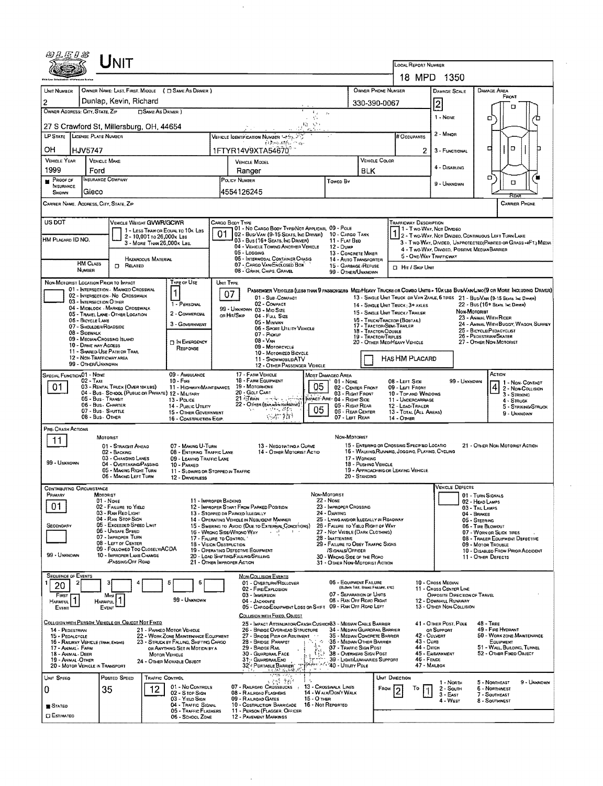|                                                                                                                                                                                                                                                                                                                                                                                                                                                                                                                                              |                                                                                                                                         |                                                                                                                                                                                                                                                                                       |                                                                                |                                                                                                                                                                            |                                                                                                                                                                                                                                                                                                                                                                                                                                      |                                                                                                                                                                                                                                                                                                                                |                                                                                          |                                                                                                                                                                                                                                                                                                        |                                                       | LOCAL REPORT NUMBER                                                                                                                                                                       |                                                                                                                                                                                                                                                                                           |                              |                                                                                                                                                                                                                              |
|----------------------------------------------------------------------------------------------------------------------------------------------------------------------------------------------------------------------------------------------------------------------------------------------------------------------------------------------------------------------------------------------------------------------------------------------------------------------------------------------------------------------------------------------|-----------------------------------------------------------------------------------------------------------------------------------------|---------------------------------------------------------------------------------------------------------------------------------------------------------------------------------------------------------------------------------------------------------------------------------------|--------------------------------------------------------------------------------|----------------------------------------------------------------------------------------------------------------------------------------------------------------------------|--------------------------------------------------------------------------------------------------------------------------------------------------------------------------------------------------------------------------------------------------------------------------------------------------------------------------------------------------------------------------------------------------------------------------------------|--------------------------------------------------------------------------------------------------------------------------------------------------------------------------------------------------------------------------------------------------------------------------------------------------------------------------------|------------------------------------------------------------------------------------------|--------------------------------------------------------------------------------------------------------------------------------------------------------------------------------------------------------------------------------------------------------------------------------------------------------|-------------------------------------------------------|-------------------------------------------------------------------------------------------------------------------------------------------------------------------------------------------|-------------------------------------------------------------------------------------------------------------------------------------------------------------------------------------------------------------------------------------------------------------------------------------------|------------------------------|------------------------------------------------------------------------------------------------------------------------------------------------------------------------------------------------------------------------------|
|                                                                                                                                                                                                                                                                                                                                                                                                                                                                                                                                              |                                                                                                                                         |                                                                                                                                                                                                                                                                                       |                                                                                |                                                                                                                                                                            |                                                                                                                                                                                                                                                                                                                                                                                                                                      |                                                                                                                                                                                                                                                                                                                                |                                                                                          |                                                                                                                                                                                                                                                                                                        |                                                       |                                                                                                                                                                                           | 18 MPD 1350                                                                                                                                                                                                                                                                               |                              |                                                                                                                                                                                                                              |
| UNIT NUMBER                                                                                                                                                                                                                                                                                                                                                                                                                                                                                                                                  |                                                                                                                                         | OWNER NAME: LAST, FIRST, MIDDLE ( Q SAME AS DRIVER )                                                                                                                                                                                                                                  |                                                                                |                                                                                                                                                                            |                                                                                                                                                                                                                                                                                                                                                                                                                                      |                                                                                                                                                                                                                                                                                                                                |                                                                                          |                                                                                                                                                                                                                                                                                                        | OWNER PHONE NUMBER                                    |                                                                                                                                                                                           | DAMAGE SCALE                                                                                                                                                                                                                                                                              |                              | DAMAGE AREA                                                                                                                                                                                                                  |
| $\overline{c}$                                                                                                                                                                                                                                                                                                                                                                                                                                                                                                                               |                                                                                                                                         | Dunlap, Kevin, Richard                                                                                                                                                                                                                                                                |                                                                                |                                                                                                                                                                            |                                                                                                                                                                                                                                                                                                                                                                                                                                      |                                                                                                                                                                                                                                                                                                                                |                                                                                          |                                                                                                                                                                                                                                                                                                        | 330-390-0067                                          |                                                                                                                                                                                           |                                                                                                                                                                                                                                                                                           |                              | FRONT                                                                                                                                                                                                                        |
|                                                                                                                                                                                                                                                                                                                                                                                                                                                                                                                                              | OWNER ADDRESS: CITY, STATE, ZIP                                                                                                         |                                                                                                                                                                                                                                                                                       | <b>CISAME AS DRIVER</b> )                                                      |                                                                                                                                                                            |                                                                                                                                                                                                                                                                                                                                                                                                                                      |                                                                                                                                                                                                                                                                                                                                | $\mathbb{F}_{\mathbb{Z}}$ .<br>$\mathcal{L}_{\mathcal{F}}$<br>÷.                         |                                                                                                                                                                                                                                                                                                        |                                                       |                                                                                                                                                                                           | $\overline{c}$<br>1 - NONE                                                                                                                                                                                                                                                                |                              | n<br>α<br>∕⊡                                                                                                                                                                                                                 |
|                                                                                                                                                                                                                                                                                                                                                                                                                                                                                                                                              | LP STATE LICENSE PLATE NUMBER                                                                                                           | 27 S Crawford St, Millersburg, OH, 44654                                                                                                                                                                                                                                              |                                                                                |                                                                                                                                                                            |                                                                                                                                                                                                                                                                                                                                                                                                                                      |                                                                                                                                                                                                                                                                                                                                | ゆうい                                                                                      |                                                                                                                                                                                                                                                                                                        |                                                       |                                                                                                                                                                                           | 2 - Minon                                                                                                                                                                                                                                                                                 |                              |                                                                                                                                                                                                                              |
| OН                                                                                                                                                                                                                                                                                                                                                                                                                                                                                                                                           |                                                                                                                                         |                                                                                                                                                                                                                                                                                       |                                                                                |                                                                                                                                                                            |                                                                                                                                                                                                                                                                                                                                                                                                                                      | VEHICLE IDENTIFICATION NUMBER SPESS 2<br>$\{1, \cdots, 10\}$ , $\gamma_{31}$                                                                                                                                                                                                                                                   |                                                                                          |                                                                                                                                                                                                                                                                                                        |                                                       | # Occupants<br>2                                                                                                                                                                          |                                                                                                                                                                                                                                                                                           |                              | D<br>h<br>п                                                                                                                                                                                                                  |
| <b>VEHICLE YEAR</b>                                                                                                                                                                                                                                                                                                                                                                                                                                                                                                                          | HJV5747                                                                                                                                 | <b>VEHICLE MAKE</b>                                                                                                                                                                                                                                                                   |                                                                                |                                                                                                                                                                            |                                                                                                                                                                                                                                                                                                                                                                                                                                      | 1FTYR14V9XTA54670 <sup>7</sup><br>VEHICLE COLOR<br>VEHICLE MODEL                                                                                                                                                                                                                                                               |                                                                                          |                                                                                                                                                                                                                                                                                                        |                                                       |                                                                                                                                                                                           | 3 - FUNCTIONAL                                                                                                                                                                                                                                                                            |                              |                                                                                                                                                                                                                              |
| 1999<br>Ford                                                                                                                                                                                                                                                                                                                                                                                                                                                                                                                                 |                                                                                                                                         |                                                                                                                                                                                                                                                                                       |                                                                                |                                                                                                                                                                            |                                                                                                                                                                                                                                                                                                                                                                                                                                      | Ranger                                                                                                                                                                                                                                                                                                                         |                                                                                          |                                                                                                                                                                                                                                                                                                        |                                                       |                                                                                                                                                                                           | 4 - DISABLING                                                                                                                                                                                                                                                                             |                              |                                                                                                                                                                                                                              |
| <b>INSURANCE COMPANY</b><br>PROOF OF<br>INSURANCE                                                                                                                                                                                                                                                                                                                                                                                                                                                                                            |                                                                                                                                         |                                                                                                                                                                                                                                                                                       |                                                                                |                                                                                                                                                                            | POLICY NUMBER<br>Toweo By                                                                                                                                                                                                                                                                                                                                                                                                            |                                                                                                                                                                                                                                                                                                                                |                                                                                          |                                                                                                                                                                                                                                                                                                        |                                                       |                                                                                                                                                                                           | 9 - UNKNOWN                                                                                                                                                                                                                                                                               |                              | о<br>'n<br>о                                                                                                                                                                                                                 |
| SHOWN                                                                                                                                                                                                                                                                                                                                                                                                                                                                                                                                        | Gieco                                                                                                                                   | CARRIER NAME, AODRESS, CITY, STATE, ZIP                                                                                                                                                                                                                                               |                                                                                |                                                                                                                                                                            |                                                                                                                                                                                                                                                                                                                                                                                                                                      | 4554126245                                                                                                                                                                                                                                                                                                                     |                                                                                          |                                                                                                                                                                                                                                                                                                        |                                                       |                                                                                                                                                                                           |                                                                                                                                                                                                                                                                                           |                              | RFA<br><b>CARRIER PHONE</b>                                                                                                                                                                                                  |
|                                                                                                                                                                                                                                                                                                                                                                                                                                                                                                                                              |                                                                                                                                         |                                                                                                                                                                                                                                                                                       |                                                                                |                                                                                                                                                                            |                                                                                                                                                                                                                                                                                                                                                                                                                                      |                                                                                                                                                                                                                                                                                                                                |                                                                                          |                                                                                                                                                                                                                                                                                                        |                                                       |                                                                                                                                                                                           |                                                                                                                                                                                                                                                                                           |                              |                                                                                                                                                                                                                              |
| US DOT<br>HM PLACARD ID NO.                                                                                                                                                                                                                                                                                                                                                                                                                                                                                                                  | <b>HM CLASS</b><br>NUMBER                                                                                                               | VEHICLE WEIGHT GVWR/GCWR<br>$\Box$ Related                                                                                                                                                                                                                                            | 2 - 10,001 to 26,000x Las<br>3 - MORE THAN 26.000 K LBS.<br>HAZAROOUS MATERIAL | 1 - LESS THAN OR EQUAL TO 10K LBS                                                                                                                                          | 01                                                                                                                                                                                                                                                                                                                                                                                                                                   | CARGO BODY TYPE<br>01 - No CARGO BODY TYPE/NOT APPLICABL 09 - POLE<br>02 - Busi Van (9-15 Seats, Inc Driver)<br>03 - Bus (16+ SEATS, INC DRIVER)<br>04 - VEHICLE TOWING ANOTHER VEHICLE<br>05 - Logging<br>06 - INTERMODAL CONTAINER CHASIS<br>07 - CARGO VAN ENCLOSED BOX<br>08 GRAIN, CHIPS, GRAVEL                          |                                                                                          | 10 - CARGO TANK<br>11 - FLAT BED<br>12 - Dump<br>13 - CONCRETE MIXER<br>14 - AUTO TRANSPORTER<br>15 - GARBAGE /REFUSE<br>99 - OTHER/UNKNOWN                                                                                                                                                            |                                                       | Trafficway Description<br>1 - Two Way, Not Divideo<br><b>D</b> Hr / Skip Unit                                                                                                             | 5 - ONE-WAY TRAFFICWAY                                                                                                                                                                                                                                                                    |                              | 1 2 - T WO-WAY, NOT DIVIDEO, CONTINUOUS LEFT TURN LANE<br>3 - Two-Way, Divideo, Unprotecteo (Painted or Grass >4FT.) Media<br>4 - Two-Way, Divided, Positive Median Barrier                                                  |
| NON-MOTORIST LOCATION PRIOR TO IMPACT<br>Type of Use<br>01 - INTERSECTION - MARKED CROSSWAL<br>1<br>02 - INTERSECTION - NO CROSSWALK<br>03 - INTERSECTION OTHER<br>1 - PERSONAL<br>04 - MIDBLOCK - MARKED CROSSWALK<br>2 - COMMERCIAL<br>05 - TRAVEL LANE - OTHER LOCATION<br>06 - BICYCLE LANE<br>3 - GOVERNMENT<br>07 - SHOULDER/ROADSIDE<br>08 - SIDEWALK<br>09 - MEDIAN/CROSSING ISLAND<br><b>D</b> IN EMERGENCY<br>10 - DRIVE WAY ACCESS<br>RESPONSE<br>11 - SHARED-USE PATH OR TRAIL<br>12 - Non-Trafficway area<br>99 - OTHER/UNKNOWN |                                                                                                                                         |                                                                                                                                                                                                                                                                                       |                                                                                |                                                                                                                                                                            | UNIT TYPE<br>PASSENGER VEHICLES (LESS THAN 9 PASSENGERS MEDIMEANY TRUCKS OR COMBO UNITS > 10K LBS BUS/VAMLIMO(9 OR MORE INCLUDING DRIVER)<br>07<br>01 - Sub-COMPACT<br>02 - COMPACT<br>99 - UNKNOWN 03 - MIO SIZE<br>OR HIT/SKIP<br>04 - FULL SIZE<br>05 - MINIVAN<br>06 - SPORT UTILITY VEHICLE<br>07 - Proxue<br>$08 - V_{AN}$<br>09 - MOTORCYCLE<br>10 - Motorizeo Bicycle<br>11 - SNOWMOBILE/ATV<br>12 - OTHER PASSENGER VEHICLE |                                                                                                                                                                                                                                                                                                                                |                                                                                          |                                                                                                                                                                                                                                                                                                        | 18 - Tractor/Double<br>19 - TRACTOR/TRIPLES           | 14 - SINGLE UNIT TRUCK; 3+ AXLES<br>15 - SINGLE UNIT TRUCK / TRAILER<br>16 - TRUCK/TRACTOR (BOBTAIL)<br>17 - TRACTOR SEMI-TRALER<br>20 - OTHER MEDIMEAVY VEHICLE<br><b>HAS HM PLACARD</b> | 13 - SINGLE UNIT TRUCK OR VAN ZAXLE, 6 TIRES 21 - BUS/VAN (9-15 SEATS. INC DANER)<br>22 - Bus (16+ Seats, Inc Driver)<br>NON-MOTORIST<br>23 - Animal With Rider<br>24 - ANIMAL WITH BUGGY, WAGON, SURREY<br>25 - BICYCLE/PEDACYCLIST<br>26 - PEDESTRIAN/SKATER<br>27 - OTHER NON-MOTORIST |                              |                                                                                                                                                                                                                              |
| 01                                                                                                                                                                                                                                                                                                                                                                                                                                                                                                                                           | SPECIAL FUNCTION01 - NONE<br>$02 - TAXI$                                                                                                | 03 - RENTAL TRUCK (OVER 10KLBS)<br>04 - Bus - School (Public on Private) 12 - Military<br>05 - Bus - Transit<br>06 - Bus - CHARTER<br>07 - Bus - SHUTTLE<br>08 - Bus - OTHER                                                                                                          |                                                                                | 09 - AMBULANCE<br>$10 -$ FiRE<br>11 - HIGHWAY/MAINTENANCE<br>13 - POLICE<br>14 - PUBLIC UTILITY<br>15 - OTHER GOVERNMENT<br>16 - CONSTRUCTION EQIP.                        |                                                                                                                                                                                                                                                                                                                                                                                                                                      | 17 - FARM VEHICLE<br>18 - FARM EQUIPMENT<br>19 - MOTORHOME<br>20 - GOLF CART<br>$21 -$ HAN $ -$<br>22 - OTHER (Explorer restaurant)<br>天空瓶 膜動<br>いぶつか                                                                                                                                                                          | 05<br>05                                                                                 | Most Damageo Area<br>01 - NONE<br>02 - CENTER FRONT<br>03 - RIGHT FRONT<br>MPACT-ARE- 04 - RIGHT SIDE<br>05 - RIGHT REAR<br>06 - REAR CEMTER<br>07 - LEFT REAR                                                                                                                                         |                                                       | 08 - LEFT SIDE<br>09 - LEFT FRONT<br>10 - Top and Windows<br>11 - UNDERCARRIAGE<br>12 - LOAD/TRAILER<br>13 - TOTAL (ALL AREAS)<br>14 - Отнев                                              |                                                                                                                                                                                                                                                                                           | 99 - Unknown                 | ACTION<br>1 - Non-Contact<br>$ 4 $ 2 - Non-Collision<br>3 - STRIKING<br>4 - STRUCK<br>5 - STRIKNG/STRUCK<br>9 - UNKNOWN                                                                                                      |
| PRE-CRASH ACTIONS<br>11<br>99 - UNKNOWN                                                                                                                                                                                                                                                                                                                                                                                                                                                                                                      |                                                                                                                                         | MOTORIST<br>01 - STRAIGHT AHEAO<br>02 - BACKING<br>03 - CHANGING LANES<br>04 - OVERTAKING/PASSING<br>05 - MAKING RIGHT TURN<br>06 - MAKING LEFT TURN                                                                                                                                  |                                                                                | 07 MAKING U-TURN<br>08 - ENTERING TRAFFIC LANE<br>09 - LEAVING TRAFFIC LANE<br>10 - PARKED<br>11 - SLOWING OR STOPPED IN TRAFFIC<br>12 - DRIVERLESS                        |                                                                                                                                                                                                                                                                                                                                                                                                                                      | 13 - NEGOTIATING A CURVE<br>14 - OTHER MOTORIST ACTIO                                                                                                                                                                                                                                                                          |                                                                                          | NON-MOTORIST                                                                                                                                                                                                                                                                                           | 17 - WORKING<br>18 - PUSHING VEHICLE<br>20 - STANDING | 15 - ENTERING OR CROSSING SPECIFIED LOCATIO<br>16 - WALKING, RUMINIS, JOGGING, PLAYING, CYCLING<br>19 - APPROACHING OR LEAVING VEHICLE                                                    |                                                                                                                                                                                                                                                                                           |                              | 21 - OTHER NON-MOTORIST ACTION                                                                                                                                                                                               |
| PRIMARY<br>01<br>SECONDARY<br>99 - UNKNOWN                                                                                                                                                                                                                                                                                                                                                                                                                                                                                                   | <b>CONTRIBUTING CIRCUMSTANCE</b>                                                                                                        | Motorist<br>$01 - None$<br>02 - FAILURE TO YIELD<br>03 - RAN RED LIGHT<br>04 - RAN STOP SIGN<br>05 - Exceeded Speed LIMIT<br>06 - UNSAFE SPEED<br>07 - IMPROPER TURN<br>08 - LEFT OF CENTER<br>09 - Followed Too Closelv/ACDA<br>10 - IMPROPER LANE CHANGE<br><b>PASSING/OFF ROAD</b> |                                                                                | 11 - IMPROPER BACKING<br>17 - FALURE TO CONTROL<br>18 - VISION OBSTRUCTION                                                                                                 |                                                                                                                                                                                                                                                                                                                                                                                                                                      | 12 - IMPROPER START FROM PARKED POSITION<br>13 - Stopped or PARKED LLEGALLY<br>14 - OPERATING VEHICLE IN NEGLIGENT MANNER<br>15 - Swering to Avoid (Due to External Conditions)<br>16 - WRONG SIDE/WRONO WAY<br>- 1<br>19 - OPERATING DEFECTIVE EQUIPMENT<br>20 - LOAD SHIFTING/FALLING/SPILLING<br>21 - OTHER IMPROPER ACTION | Non-Motorist<br><b>22 - NONE</b>                                                         | 23 - IMPROPER CROSSING<br>24 - Darting<br>25 - LYING AND/OR LLEGALLY IN ROAOWAY<br>26 - FALURE TO YIELO RIGHT OF WAY<br>27 - Not Visele (DARK CLOTHING)<br>28 - INATTENTIVE<br>29 - FAILURE TO OBEY TRAFFIC SIGNS<br>/SIGNALS/OFFICER<br>30 - WRONG SIDE OF THE ROAD<br>31 - OTHER NON-MOTORIST ACTION |                                                       |                                                                                                                                                                                           | <b>VEHICLE DEFECTS</b>                                                                                                                                                                                                                                                                    | 04 - BRAKES<br>05 - STEERING | 01 - TURN SIGNALS<br>02 - HEAD LAMPS<br>03 - TAIL LAMPS<br>06 - TIRE BLOWOUT<br>07 - WORN OR SLICK TIRES<br>08 - TRALER EQUIPMENT DEFECTIVE<br>09 - MOTOR TROUBLE<br>10 - DISABLEO FROM PRIOR ACCIDENT<br>11 - OTHER DEFECTS |
| <b>SEQUENCE OF EVENTS</b><br>20<br>FIRST<br><b>HARMFUL</b><br>EVENT                                                                                                                                                                                                                                                                                                                                                                                                                                                                          |                                                                                                                                         | Mast<br><b>HARMFUL</b><br>EVENT                                                                                                                                                                                                                                                       |                                                                                | 6<br>99 - UNKNOWN                                                                                                                                                          |                                                                                                                                                                                                                                                                                                                                                                                                                                      | NON-COLLISION EVENTS<br>01 - OVERTURN/ROLLOVER<br>02 - FIRE/EXPLOSION<br>03 - IMMERSION<br>04 - JACKKNIFE<br>05 - CARGO/EQUIPMENT LOSS OR SHIFT 09 - RAN OFF ROAD LEFT<br>COLLISION WITH FIXED, OBJECT                                                                                                                         |                                                                                          | 06 - EQUIPMENT FAILURE<br>07 - SEPARATION OF UNITS<br>08 - RAN OFF ROAD RIGHT                                                                                                                                                                                                                          | (BLOWN TIRE, BRAKE FAILURE, ETC)                      |                                                                                                                                                                                           | 10 - Cross MEDWN<br>11 - Cross CENTER LINE<br>OPPOSITE DIRECTION OF TRAVEL<br>12 - DOWNHILL RUNAWAY<br>13 - OTHER NON-COLLISION                                                                                                                                                           |                              |                                                                                                                                                                                                                              |
| 14 - PEDESTRIAN<br>15 - PEDALCYCLE                                                                                                                                                                                                                                                                                                                                                                                                                                                                                                           | 16 - RAILWAY VEHICLE (TRAN, ENGINE)<br>17 - Animal - Farm<br>18 - ANIMAL - DEER<br>19 - ANIMAL OTHER<br>20 - MOTOR VEHICLE IN TRANSPORT | <u>COLLISION WITH PERSON, VEHICLE OR OBJECT NOT FIXED</u>                                                                                                                                                                                                                             | <b>MOTOR VEHICLE</b>                                                           | 21 - PARKED MOTOR VEHICLE<br>22 - WORK ZONE MAINTENANCE EQUIPMENT<br>23 - STRUCK BY FALLING, SHIFTING CARGO<br>or Anything Set in Motion by a<br>24 - OTHER MOVABLE OBJECT |                                                                                                                                                                                                                                                                                                                                                                                                                                      | 25 - IMPACT ATTENUATOR/CRASH CUSHIONS3 - MEOIAN CABLE BARRIER<br>26 - BRIDGE OVERHEAD STRUCTURE<br>27 - BRIDGE PIER OR ABUTMENT<br>28 - BRIDGE PARAPET<br>29 - Bange Ran<br>30 - GUARDRAIL FACE<br>31 GUARDRAILEND<br>32 - PORTABLE BARRIER<br>19.30 Band of                                                                   | $\mathcal{C}_{\mathcal{E}}$<br>$\hat{\Omega}^t$<br>$\mu \rightarrow \nu \rightarrow \nu$ | 34 - Median Guaroral Barrier<br>35 - MEDIAN CONCRETE BARRIER<br>36 - MEDIAN OTHER BARRIER<br><b>37 - TRAFFIC SIGN POST</b><br>38 - Overhead Sign Post<br>39 - LIGHTILUMINARIES SUPPORT<br>Bridge of 140 - UTILITY POLE                                                                                 |                                                       | $43 - C$ URB                                                                                                                                                                              | 41 - OTHER POST, POLE<br>OR SUPPORT<br>42 - CULVERT<br>44 - Опсн<br>45 - EMBANKMENT<br>46 - FENCE<br>47 - MAILBOX                                                                                                                                                                         |                              | 48 - TREE<br>49 - FIRE HYDRANT<br>50 - WORK ZONE MAINTENANCE<br>EQUIPMENT<br>51 - WALL BUILDING, TUNNEL<br>52 - OTHER FIXED OBJECT                                                                                           |
| UNIT SPEED<br>0<br>$\blacksquare$ Stateg<br><b>CI ESTIMATEO</b>                                                                                                                                                                                                                                                                                                                                                                                                                                                                              |                                                                                                                                         | Posteo SPEED<br>35                                                                                                                                                                                                                                                                    | TRAFFIC CONTROL<br>12.                                                         | 01 - No CONTROLS<br>02 - S top Sign<br>03 - YIELD SIGN<br>04 - TRAFFIC SIGNAL<br>05 - TRAFFIC FLASHERS<br>06 - SCHOOL ZONE                                                 |                                                                                                                                                                                                                                                                                                                                                                                                                                      | <b>SARA SAN</b><br>5 P. 36<br>07 - RAILROAD CROSSBUCKS<br>$\cdot$<br>08 - RAILROAD FLASHERS<br>09 - RAILROAD GATES<br>10 - Costruction Barricade<br>11 - PERSON (FLAGGER, OFFICER<br>12 - PAVEMENT MARKINGS                                                                                                                    | 15 - O THER<br>16 - Not Reported                                                         | 13 - CROSSWALK LINES<br>14 - W alk/Don't Walk                                                                                                                                                                                                                                                          |                                                       | UNIT DIRECTION<br>FROM<br>To                                                                                                                                                              | 1 - Norm<br>2 - South<br>$3 - EAST$<br>4 - West                                                                                                                                                                                                                                           |                              | 9 - UNKNOWN<br>5 - NORTHEAST<br><b>6 - NORTHWEST</b><br>7 - SOUTHEAST<br>8 - SOUTHWEST                                                                                                                                       |

 $\sim$   $\sim$ 

 $\sim 10^{-1}$ 

 $\sim$   $\sim$